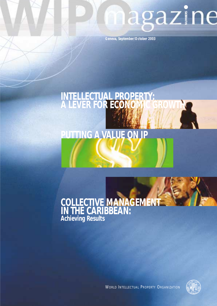# magazine

**Geneva, September/October 2003**

# **INTELLECTUAL PROPERTY: A LEVER FOR ECONOMIC GROWTH**

# **PUTTING A VALUE ON IP**

## **COLLECTIVE MANAGEMENT IN THE CARIBBEAN: Achieving Results**



WORLD INTELLECTUAL PROPERTY ORGANIZATION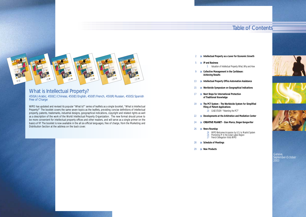- 2 **D** Intellectual Property as a Lever for Economic Growth
- ◗ **IP and Business**

5 Valuation of Intellectual Property: What, Why and How

- **B** Collective Management in the Caribbean: **Achieving Results**
- ◗ **Intellectual Property Office Automation Assistance** 13 **D**
- **15 Worldwide Symposium on Geographical Indications**
- **17 Next Steps for International Protection of Traditional Knowledge**
- **19 •• The PCT System The Worldwide System for Simplified Filing of Patent Applications** 20 CASE STUDY: "Patenting the PCT"
- ◗ **Developments at the Arbitration and Mediation Center** 22
- ◗ *CREATIVE PLANET*  **Gian Marco, Singer-Songwriter** 24
- ◗ **News Roundup** 26
	- 26 Promoting IP in the Great Lakes Region 27 French Delegation Visits WIPO
- ◗ **Schedule of Meetings** 28
- ◗ **New Products** 29

Geneva, September-October 2003

450(A) Arabic, 450(C) Chinese, 450(E) English, 450(F) French, 450(R) Russian, 450(S) Spanish Free of Charge

26 WIPO Welcomes Accession by U.S. to Madrid System









5

## Table of Contents



### What is Intellectual Property?

WIPO has updated and revised its popular "What Is?" series of leaflets as a single booklet, "What is Intellectual Property?" The booklet covers the same seven topics as the leaflets, providing concise definitions of intellectual property, patents, trademarks, industrial designs, geographical indications, copyright and related rights as well as a description of the work of the World Intellectual Property Organization. The new format should prove to be more convenient for intellectual property offices and other readers, and will serve as a single primer on the basics of IP. The booklet is now available in the all six official languages, free of charge, from the Marketing and Distribution Section at the address on the back cover.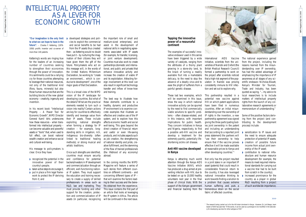#### **Tapping the innovative power of a resourceful continent**

The examples of successful innovative endeavor used in this series have been triggered by a wide variety of catalysts, ranging from the attributes of a thorny plant growing in a stone-dry land, to the knack of turning a readily available fruit into a marketable delicacy, to the need to stop the advance of a deadly virus and to ease the plight of sufferers from a painful genetic disease.

These last two examples, which will be examined in this issue, show the way in which national innovative activity can be spurred by the need to find commercially viable solutions to specific problems – often disease-related, and in this instance, with important implications for public health. They concern initiatives in Kenya and Nigeria, respectively, to find a possible anti-HIV vaccine and develop a treatment for the extremely painful, potentially lifeshortening sickle cell disease.

#### **Anti-HIV vaccine developed in Kenya**

Kenya is attracting much world attention through the Kenya AIDS Vaccine Initiative (KAVI), which has produced a drug aimed at preventing infection with HIV, due to be tested on up to 10,000 healthy volunteers next year in the final phase of clinical trials. With the support of the Kenyan government and financial backing from the

International AIDS Vaccine Initiative, scientists from the universities of Nairobi and Oxford (the British Medical Research Council) formed a partnership to work on the project after scientists noticed that a high-risk segment of the population in Nairobi was proving consistently immune to HIV infection and set out to explore why.

- **■** sensitization to IP issues and the need to ensure adequate protection of potential IP assets;
- ◗ creation of possible future income from actual joint ownership of the IP asset;
- contribution to national infrastructure and human resource development (for example, the means to meet required international standards for carrying out a vaccine trial had to be built from scratch in the country);
- increased prominance for the country as a player in global R&D resulting from a project of such worldwide importance;

This partnership resulted in a potential new vaccine against HIV on which patent applications have been filed in numerous countries. After an initial misunderstanding over the ownership of IP rights in the invention, a new partnership agreement was signed giving the three participating bodies joint ownership in the patent and including an understanding that (according to a reported joint press statement) the partners will "use their ownership to help ensure that if the vaccine proves effective it will be made available at reasonable prices to Kenya and other developing countries." 1

Not only has the project resulted in a joint stake in an important IP asset (patents) that could result in considerable financial return to the country, it has also leveraged national innovative thinking to work towards finding a solution to a problem that causes extreme human suffering and puts a tremendous strain on the social fabric of affected countries.

■ developed strategies and policies to exploit the commercial and social benefits to be had from the IP assets thus created then – as Kettering would no doubt have put it – by nurturing the imagination of their citizens they will have given them the gift of the future. Policymakers who act on this message will, in the words of the United Nations Millennium Declaration, be working to "create an environment… which is conducive to development", one of the major goals of that Declaration.

The national experience gained from the project, including the lessons learned from the misunderstanding over IP ownership, has had the added advantage of emphasizing the importance of IP awareness at all stages of any scientific endeavor. Nicholas Biwatt, Kenya's Minister for Tourism, Trade and Industry, has been quoted as saying, "…my advice to local researchers is to include matters of intellectual property rights from the launch of any collaborative research agreements or memorandum of understanding."

Some of the positive factors deriving from the project (and contributing to the development process) include:

# INTELLECTUAL PROPERTY AS A LEVER FOR ECONOMIC GROWTH

In the coming months the WIPO Magazine will feature a series of such stories from different countries on different continents – and concerning different types of IP – that will examine the factors leading to their success and the benefits obtained from the experience. This issue contains the first part of an article that looks at leveraging the IP system in Africa. The article will be continued in the next issue.

**"Our imagination is the only limit to what we can hope to have in the future".** *– Charles F. Kettering, (1876- 1958) prolific inventor and co-owner of more than 140 patents.*

> The research being carried out is for the HIV strain dominant in Kenya. However, Dr. Job Bwayo, team leader of KAVI has said that "If this works, it can be used as a prototype to be modified in the laborato-

Kettering's words are ringing true for the leaders of an increasing number of countries seeking to strengthen their economies through the power of innovation. His sentiments could be a rallying cry for those countries attempting to leverage their national resources, not only of the traditional kind (flora, fauna, minerals) but also those human resources that are the building blocks of the new global economy – creativity, ingenuity and invention.

In his recent book "Intellectual Property – A Power Tool for Economic Growth", WIPO Director General Kamil Idris underscores how these resources – when transformed into intellectual property – can become valuable and powerful assets or "tools" that, when used to full effect, can boost national wealth creation and enhance social and cultural well-being.

His message to policymakers is clear. Once they have

- ◗ recognized the potential in the innovative power of their country's people;
- taken active steps to encourage it;
- ◗ put in place a firm legal framework to protect the IP deriving from it; and

This is a broad view of the WIPO vision of the IP landscape for developing countries. But what of the details? What are the practical elements needed to turn such a vision into reality? Certain actions are key for countries to effectively identify and leverage value from their IP assets. These include exploiting national strengths when forming a strategy for IP creation – for example, longstanding skills in irrigation; rich, indigenous bio-diversity (often linked to traditional healing methods); or strong musical and artistic traditions.

Once such strengths are identified, countries must ensure security and confidence for potential backers/investors in IP development and commercialization through an efficient, well-functioning national IP system. They must support the education and training necessary to create a supply of skilled professionals in areas such as R&D, law and marketing. They must provide funding and other support for the creation, protection and commercialization of IP assets (in particular, recognizing

the important role of small and medium-sized enterprises), and assist in the development of national skills in negotiating agreements associated with IP assets (for example, for transfer, licensing, or joint venture development). Countries must also work to create partnerships (domestic and international, and public and private) that enhance innovative activity and increase the creation of viable IP and its exploitation. Attracting foreign involvement at this level can also result in significant technology transfer and inflow of know-how and training.

The best way to illustrate how these elements contribute to a healthy, dynamic and productive IP environment is to examine concrete examples that illustrate an effective and creative use of the IP system, and to explore how this affects economic health and social well-being. This goes beyond the direct creation of financial return and useful or even life-saving products, and includes aspects such as job creation, the strengthening of national identity and pride, creative fulfillment, and the stemming of the flow of trained professionals (the lifeblood of any economy) abroad.

>>>



WIPO Magazine/Sept.-Oct. 2003

WIPO Magazine/Sept.-Oct. 2003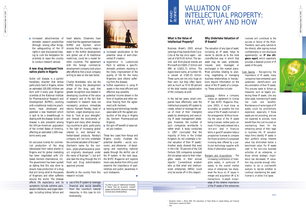VALUATION OF

# INTELLECTUAL PROPERTY: WHAT, WHY AND HOW

#### **What is the Value of Intellectual Property?**

Business Week's 2003 annual rankings of top brands finds Coca-Cola at the top once again - valued at US\$70.45 billion. The second- and third-placed brands are Microsoft at US\$65.17 billion and IBM at US\$51.71 billion. The Apple brand name, at number 50, is valued at US\$5.55 billion. These sums are not only huge on their own, but they often represent as much as 70 to 99 percent of the total market capitalization of the company as well.

In the last ten years, smart companies have effectively used the intellectual property (IP) system to create, extract or leverage the value of most of their intangible assets by developing and executing IP asset management strategies. However, the number of such companies worldwide is rather small. A study conducted in 1997 concluded that the majority of firms in the United Kingdom do not undertake a formal valuation of their IP assets.<sup>2</sup> Another study showed that even in the USA, 76 percent of the 226 Fortune 500 companies surveyed did not assign value to their intangible assets in their annual reports. <sup>3</sup> Conventional wisdom tells us that small and mediumsized enterprises (SMEs) could only be worse off in this respect.

#### **Why Undertake Valuation of IP Assets?**

The valuation of any type of asset, including an IP asset, helps its owner to decide as to the most cost-effective way in which that asset may be used, protected, insured, sold, leveraged or exchanged in the market place. Most activities relating to planning, negotiating or managing business relationships or transactions require information on the value of the IP assets of a company. These activities include:

Licensing - Before a company makes an agreement to license IP (see WIPO Magazine May-June 2003), it must know as accurately as possible the true value of the IP assets involved in the arrangement. Without knowing the value of the IP assets being licensed, neither party can know if it has really entered into a 'win-win' deal in financial terms. A good IP valuation helps a prospective licensee to compare the financial terms of a proposed licensing deal offered by a particular technology supplier with those of alternative suppliers.

#### Mergers and Acquisitions - The

increasing contribution of intangible assets, in particular IP assets, to the overall market value of enterprises has sharpened the focus on IP issues in merger and acquisition (M & A) transactions. In-depth knowledge of the relative importance of the IP assets of the enterprises

involved will contribute to the success or failure of the M&A. Therefore, each party submits to the other(s), after signing mutual confidentiality or non-disclosure agreement(s), an **IP due diligence report**, which essentially provides a detailed picture of IP assets of the party.

■ increased sensitization to the potential value of well-chan-

> Cost Saving - Recognizing the importance of IP assets, many companies have embarked upon systematic identification and documentation of their IP assets. This process leads to follow-up measures, such as legally protecting these IP assets. Like any other asset, maintaining IP assets has costs and benefits. Maintenance of some types of IP assets could be prohibitively expensive, especially if those assets are not providing, and are not expected to provide, more benefit than the cost incurred on maintaining them for the remaining period of their legal or business life. IP valuation helps firms identify IP assets in their portfolio whose inherent value has diminished below a benchmark value. For IP assets used in the non-core business activities of an enterprise, or those whose strategic importance has decreased, IP valuation may provide enough information to do a cost-benefit analysis to decide whether to continue maintaining the asset, license it, or allow it to lapse.



WIPO Magazine/Sept.-Oct. 2003

WIPO Magazine/Sept -Oct. 2003

experience in customized R&D to address a specific domestic problem, resulting in the likely improvement of the quality of life for the many Nigerians (and others) suffer-

further experience in using IP assets in the most efficient and

training and technology transfer associated with the agreed production of the drug in Nigeria (by Xechem Pharmaceuticals

■ the spin-off benefit of associat-

# IP AND<br>BUSINESS BUSINESS

◗ increased attractiveness of domestic research possibilities (through, among other things, the safeguarding of the IP rights in new discoveries) helping to curb the temptation for scientists to leave the country to conduct research abroad.

#### **A new drug developed from** development company took place **native plants in Nigeria**

Sickle cell disease is a painful hereditary disorder that strikes particularly hard in Nigeria, where an estimated 100,000 children are born with it every year. Nigerian scientists at the National Institute for Pharmaceutical Research and Development (NIPRD), working with a traditional medicine practitioner, have developed and patented a new treatment which is said to be a breakthrough in dealing with the disease. Sickle cell disease is also prevalent among Nigeria and many other developthe African-American population of the United States of America, affecting an estimated 1,000 newborns every year.

An exclusive license for commercial production of the drug (developed from native plants) in Nigeria and for global marketing has been negotiated with USbased Xechem International, Inc. The government has been quoted as stating that this was done to ensure mass production of a drug that will bring relief to thousands of Nigerians and other sufferers around the world. The disease affects life expectancy and its ◗ use of the IP system to leverage symptoms include extreme pain, severe infections, and organ damage, including kidney failure and

heart attacks. Observers have noted that the agreement between NIPRD and Xechem, which ensures that the country keeps a stake in the further development and global use of its traditional medicines, could be a model for other countries. The agreement with the foreign commercial after efforts to find a local company willing to take on the task failed.

Charles Wambebe, who led the NIPRD during the development phase of the drug, said that greater recognition was needed in developing countries of the value of research and of the fact that investment in research does not necessarily produce immediate returns. Ramesh Pandey, head of Xechem, urged developing countries to "look at your strengths" and likened the biodiversity of ing countries to gold, particularly in the light of increasing global interest in, and demand for, herbal-based products. Pandey's company will not only undertake

the commercialization of Nicosan™ (Xecham's name for the nontoxic, phyto-pharmaceutical product originally developed under the name of Niprisan™), but will also take the drug through the US Food and Drug Administration approval process.

Benefits to the country from this such endeavors. research include:

financial and social benefits from the country's natural resources, in this case its rich biodiversity;

nelled IP creation;

ing from the disease;

effective way possible;

◗ potential income stream in the form of royalties and other revenue flowing from the agree-

ment with Xechem;

Nigeria);

ed job creation.

These two cases from Kenya and Nigeria vividly illustrate the potential benefits – social, economic, and otherwise – of developing and exploiting national assets through the skillful use of the IP system. In the next issue, the WIPO Magazine will explore more case studies from Africa and examine the importance of partnerships and public awareness in

◆

To order a copy of "Intellectual Property– A Power Tool for Economic Growth" please visit the WIPO electronic bookshop at *www.wipo.int/ebookshop*

> <sup>2</sup> Bosworth, Derek. L, March 2003, The Importance of Trade Marks to Capital Raising and Financial Performance- Lessons for SMEs

ibid

>>>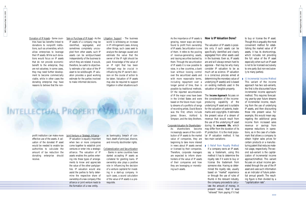As the importance of IP assets is growing, newer ways are being found to profit from ownership of IP assets. Securitization is one of them. It refers to the pooling of revenue-generating assets, and issuing securities backed by them. Through the securitization of IP assets it is now possible to raise, in a few countries, a bank loan without loosing control over the securitized assets and with more reasonable terms. including repayment over a longer period of time, than is possible by traditional methods. Of the reported securitizations of IP the major ones have been in the United States and were based on the future music royalty streams of a portfolio of songs of recording artists. David Bowie was the first; others include James Brown, Ashford & Simpson, and the Isley Brothers.

#### Corporate Valuation for Shareholders -

As shareholders become increasingly aware of the contribution of IP assets to the market value of companies, they are beginning to take more interest in news about IP assets owned or licensed by their companies. Therefore, corporate managers are expected to inform shareholders of the value of IP assets of their companies and how they are leveraging or monetizing such assets.

#### **How is IP Valuation Done?**

The valuation of IP assets is possible only if such assets can be specifically identified and clearly segregated from other assets used in the business. Even so, IP assets are and will always remain hard to appraise – that may be why many consider IP valuation to be as much art as science. IP valuation is a conscious process aimed at determining the monetary value of underlying IP asset(s) and is based on existing methods used in the valuation of tangible property.

The **Income Approach** focuses on the consideration of the incomeproducing capability of the underlying IP asset and is suitable for the valuation of patents, trademarks and copyrights. It estimates the present value of a stream of revenue that would result from the use of the underlying IP asset during its **economic life**, which may differ from the duration of its IP protection. It is the most popular IP valuation method. It has two main variations:

ii) Incremental Income Method This variant of the income approach has two sub-variants, the first is the discounted future incremental income approach/ method. This requires forecasting year-by-year future streams of incremental income, resulting from the use of underlying IP assets, and then discounting those into present value. For example, this would mean segregating the additional gross income from increased sales revenue or savings from expense reductions in operations, as in the case of a trademark that allows a company to obtain higher sales prices for certain products or a manufacturing patent that reduces material usage, respectively. The second sub-variant is the capitalization of incremental income approach/method. This variant focuses on actual income generated through the use of the IP asset and uses such information as an indicator of future potential annual growth. The resulting figure is then divided by a "capitalization rate".

If a company owns an IP asset, say a trademark, using this method it has to determine the royalty rate if it were to buy or license the trademark from someone else. Having so determined the royalty rate, usually based on "market" experience or through the use of rules of thumb in the relevant industry, the company proceeds to calculate the amount of money, in present value, that it was "relieved" from paying if it had

#### **• i) Relief from Royalty Method**

to buy or license the IP asset. Though this is arguably the most convenient method for establishing the market value of IP assets, it has its shortcomings, which includes not providing the full value of the IP asset especially when such an IP asset is not to be licensed exclusively to one party (but non-exclusively to many parties).

Donation of IP Assets - Some coun-

tries have tax benefits linked to donations to nonprofit institutions, such as universities, which allow enterprises to leverage their IP assets. While such donations would focus on IP assets that do not provide economic benefit to the enterprise, they are not valueless. In some cases, they may need further development to become commercially viable, while in other cases the donating enterprise may have reasons to believe that the non-

profit institution can make more effective use of the assets. A valuation of the donated IP asset would be needed to enable tax authorities to calculate the amount of tax reduction the donating enterprise should receive.

Sale or Purchase of IP Asset - As the

IP assets of a company may be identified, segregated, and sometimes completely uncoupled from other assets, such IP assets can be sold/purchased independently of the business to which they are related. It would, therefore, be useful to objectively estimate a fair value of the IP asset to be sold/bought. IP valuation provides a good working estimate for the parties involved to make informed decisions.

Joint Venture or Strategic Alliance - IP valuation is equally important when two or more companies come together to establish joint ventures or enter into a strategic alliance. The valuation of IP assets enables the parties entering into these types of arrangements to know and appreciate the value of the other party/parties. IP valuation would also assist the parties to fairly determine the respective share of ownership of a new company if the alliance or joint venture leads to the formation of a new entity.

Litigation Support - The business world is witnessing an increase in IP infringement cases. Among other things, such cases seek to analyze the damage caused and estimate the value that the owner of the IP right should be paid. Knowledge of the value of an IP right that has been infringed may be crucial in influencing the IP owner's decision on the course of action to be taken. Valuation of IP assets may also be required to support litigation in other situations such

# INTELLECTUAL PROPERTY VALUATION

as bankruptcy, breach of contract, death of principal, divorce, and minority stockholder rights.

Collateralization and Securitization - Banks in some countries have started accepting IP assets as collateral for granting loans. IP ownership also plays a positive role in influencing the decision of a venture capitalist for investing in a start-up company. In such cases, a sound calculation of the value of IP assets is a prerequisite.

>>>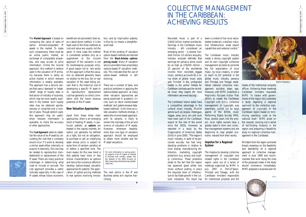# COLLECTIVE MANAGEMENT IN THE CARIBBEAN: ACHIEVING RESULTS

Recorded music is part of a US\$50 billion market worldwide. Earnings in the Caribbean music industry - still considered an emerging sector - is several hundred million US dollars annually. Industry analysts estimate that earnings for Jamaica alone could be as high as US\$350 million - management societies to promote 25 percent of the worldwide income from recorded reggae music. Jamaica accounts for a rising share of global music sales and Trinidad is the undisputed leader in the global market for Caribbean carnivals and the recorded music they inspire (for more information see *www.oas.org*).

The Caribbean Island states have a competitive advantage in the cultural music industry. Musical genres such as calypso, merengue, reggae, salsa, soca, son and zouk have been part of the Caribbean export to the rest of the world since the 1920s. However, as reported in a study by the Organization of American States (OAS) in June 2000, "The region's music industry, in spite of its perceived success, has had longstanding problems in relation to local airplay, manufacturing distribution, marketing copyright protection (e.g. piracy) and royalty collections. These problems relate to the fact that the region has spawned great artists and music without putting in place the requisite level of infrastructure to facilitate growth in the cultural industries. The result has been a context of low local valueadded (material), a shallow industrial infrastructure, weak export capabilities and external control."

The Caribbean music industry needs a strong copyright system and its own copyright collective the full exploitation of local music, by local creators, in order to reach its full potential in the global music industry. Jamaica and Trinidad and Tobago established national collective management societies years ago; however, until WIPO undertook a Regionally Focused Action Plan (RFAP) to create the Caribbean Copyright Link (CCL), collective management of copyright was essentially carried out by local agents of the British music Performing Rights Society (PRS). Now, several years into the project, local rights owners have a greater stake in their own collective management systems and are beginning to reap greater economic reward from their works. heads of the intellectual property offices. Following these meetings Caribbean ministers requested WIPO "in liaison with governments of the region [to] undertake a study regarding a regional approach to the collective management of copyright in the Caribbean region based on minimizing operating costs at the national level." WIPO acted on the request, carrying out a series of fact-finding missions in the region and preparing a feasibility study on regional collective management in the Caribbean.

#### **Impetus for a Regional System**

The impetus to develop collective management of copyright and related rights in the Caribbean region came out of a series of meetings organized by WIPO in July 1997 in Port-of-Spain, Trinidad and Tobago, with the Caribbean ministers responsible for intellectual property and the



WIPO Magazine/Sept.-Oct. 2003 MPO Magazine/Sept.-Oct. 2003

Ministers from the region achieved broad consensus on the feasibility and desirability of a regional approach to collective management in June 1999 and recommended that work along the lines of the proposals made in the study should commence immediately. WIPO prepared a business plan for

 $\rightarrow$ 

The **Market Approach** is based on benefit are not yet evident. Even so, comparing the value of sales of earlier similar/comparable IP assets in the market. To make such comparisons, there must be an active public market, an exchange of comparable properties, and easy access to price information. Unlike the income approach, this method is seldom A good reason not to rely solely used in the valuation of IP primarily because there is rarely an active market in which relevant information is readily available. The approach has a second variant that uses a 'standard' or 'established' range of royalty rates in that sector of industry or business, which may be more readily available in the market. Such royalty rates may be obtained spontaneously or compiled over a number of years. Though seldom used, this approach may be useful, when relevant information is available, to check the accuracy of other approaches.

The **Cost Approach** seeks to establish the value of an IP asset by calculating the cost that a company would incur if it were to develop a similar asset either internally or acquire it externally. The cost may be related to reproduction (reinstatement) or replacement of the IP asset. There are many practical challenges in determining what costs to include or exclude. The cost approach provides a useful indicator especially in the case of IP assets whose future economic

as a stand-alone method, it is the least used of the three methods as cost and value are usually not the same. In most cases this method is considered suitable only as a supplement to the income approach (if the valuation is not for bookkeeping purposes only). on this approach is that the valuation so obtained generally bears no relation to the true, fair or real valuation of the asset being valued; that is, the historical cost of developing a specific IP asset or its reproduction/ replacement cost has generally no direct correlation with the future revenue potential of the IP asset.

#### **New Valuation Approaches**

Apart from these three main approaches, there is an emerging trend of treating IP assets, in particular patents, as **options** are treated in the capital markets. An option can generally be defined as a right, but not an obligation, to purchase or sell an underlying asset whose price is subject to some form of random variation at or before a specified time. The main reason for this new trend is that patents have more or less similar characteristics as options and hence the numerous efforts to develop options-based valuation approaches for patents. The application of option-pricing methods to real options involving innova-

tion, and by implication patents, is thus by no means a straightforward task.

Most of the existing IP valuation option-based methods are derived from the **Black-Scholes optionspricing model**. Many IP valuation service providers have proprietary options-based IP valuation methods. This indicates that the use of option-based methods is still evolving.

There are a number of basic and practical problems in applying the options-based approach, so many other valuation approaches are being examined in academic circles, such as 'stock market-based methods' and 'patent renewal databased methods'. Until more accurate valuation methods emerge, it seems the income-based approach, with its variants, is likely to remain the mainstay of the art and science of valuation of IP assets. However, whenever feasible, more than one type of valuation approach should be employed to obtain more reliable and fair IP asset valuations.

The next article in the IP and Business series will explore franchising.

◆

For more information on various practical aspects of the IP system of interest to business and industry, please visit the website of the SMEs Division at *http://www.wipo.int/sme/en/case\_studies/ index.htm.*

*Brother Resistance*

# *Courtesy Rituals Music*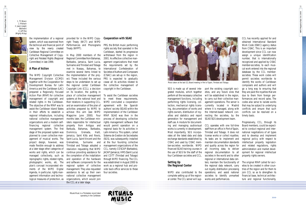WIPO Magazine/Sept.-Oct. 2003 WIPO Magazine/Sept.-Oct. 2003

11

SGS is made up of several integrated modules, which together perform all the necessary collective management functions, including performing rights licensing, collection, mechanical rights licensing, documentation of works and rights owners, distribution of royalties and statistics and report generation for management and staff use. A module for documenting and managing audiovisual works is currently in development. Most importantly, SGS incorporates all the latest data and data exchange standards established by CISAC and used by CISAC member-societies worldwide. WIPO financed SGAE training courses in the use of SGS for the staff of the four Caribbean societies and CCL.

#### **Setting Up the Regional Center**

WIPO also contributed to the complete setting up of the regional center. The CCL server will sup-

port the existing copyright societies, and any future ones that will be established in the region. to carry out their collective management operations. The server is currently located in Madrid where it is managed, along with the Internet-based network connecting the societies, by the SGAE-SGS development team.

CCL operates with one full-time staff from an office in Port of Spain, Trinidad and Tobago. It does not license works or collect royalties. Its tasks are to implement and maintain documentation standards and quality across the region for all incoming data; to deliver regional documentation to all societies in the world and to other regional or international data centers; maintain the functionality of the regional data network, carry out royalty distribution processing operations; and assist national societies to identify unmarked works and performances.

CCL has recently applied for and obtained International Standard Work Code (ISWC) agency status from CISAC. This is an important development since CCL can now assign a unique identification number, that is internationally recognized and applied by CISAC member-societies, to each musical work entered into the regional database by the CCL membersocieties. These work codes will permit societies worldwide to identify the works of Caribbean composers and authors and will go a long way to ensuring that they are paid the royalties that are due to them from foreign performances and record sales. The codes also serve to isolate works that may be subject to underlying conflicts and ensure that such conflicts can be resolved on a timely basis.

Progressively, CCL, through its Board members, could be expected to conduct regional and international negotiations of all types and to develop and implement regional policy with respect to intellectual property legislation and related regulations, rights administration and market development for regional intellectual property rights owners.

The original RFAP called for societies to be created in other countries of the region and for them to join CCL so as to strengthen its financial base, technical architecture and regional functionality,

WIPO Magazine/Sept.-Oct. 2003

10

the implementation of a regional system, which was examined from the technical and financial point of view by the newly created Caribbean Regional Committee on Collective Management of Copyright and Related Rights (Regional

Committee) in late 1999.

#### **A Plan of Action**

The WIPO Copyright Collective Management Division (CCMD) together with the Cooperation for Development Bureau for Latin America and the Caribbean (LAC) prepared a Regionally Focused Action Plan (RFAP) for collective management of copyright and related rights in the Caribbean. The objective of the RFAP was to assist the Caribbean Island States in their efforts to establish a regional infrastructure, including national collective management organizations and a modern selffinancing regional collective management system. The first stage of the proposed system was planned to cover collective management of musical works. The project design, however, was made flexible enough to address at a later stage other categories of works and rights, which can be managed collectively, such as reprographic rights, related rights, photographic works, etc. The plan's concept incorporated elements of the WIPO Digital Agenda, in particular, rights management information and technological measures of protection, as

provided for in the WIPO Copyright Treaty (WCT) and WIPO Performances and Phonograms PRS, the British music performing Treaty (WPPT).

In May 2000 members of the Regional Committee from Bahamas, Barbados, Jamaica, Saint Lucia, Suriname and Trinidad and Tobago met in Nassau, Bahamas, to examine several items linked to the implementation of the project. These included the various steps to be undertaken to set up the regional center Caribbean Copyright Link (CCL), a decision on its location, the putting in place of collective management systems at the national level and their relations in supporting CCL, and an examination of the plan of activities prepared by WIPO to achieve this aim (see WIPO Magazine June 2000). Four months later, the Caribbean ministers responsible for intellectual property from Antigua and Barbuda, Bahamas, Barbados, Dominica, Grenada, Haiti, Jamaica, Saint Kitts and Nevis, Saint Lucia, Saint Vincent and the Grenadines, Suriname and Trinidad and Tobago adopted a resolution requesting that WIPO continue providing assistance for the completion of the installation and operation of the hardware and software components for the regional system of collective management. They also requested assistance to set up their own national collective management organizations, which would join the CCL at a later stage.

#### **Cooperation with SGAE**

rights society that operated in the Caribbean, started its progressive withdrawal from the region in 2001. As effective collective management organizations that meet the requirements set by the International Confederation of Societies of Authors and Composers (CISAC) are set-up in the region, PRS is expected to gradually cease all its activities related to the collective management of copyright in the Caribbean.

To assist the Caribbean societies to meet these requirements, WIPO concluded a cooperation agreement with the Spanish authors' society (SGAE) within the implementation of the Caribbean RFAP. SGAE was then in the process of developing collective rights management software that would permit operation on a regional basis for its activities in Latin America. This system, called *Sistema de Gestion de Sociedades* (SGS), was subsequently installed at the four founding collective management organizations of the CCL, namely COSCAP (Barbados), JACAP (Jamaica), HMS (Saint Lucia) and COTT (Trinidad and Tobago) through WIPO financing. The CCL was established in August 2000 to work as a regional hub and provide back-office services to these four societies.

*1. TC Brown 2. Mishach 3. Jason Joseph (Bachelor) 4. Jeff Elva (Mighty Pe'lay)*



*Photo taken at the last CCL Board meeting in Port of Spain, Trinidad and Tobago.*

*Rituals Music is a Trinidadian record label operating in the Caribbean*



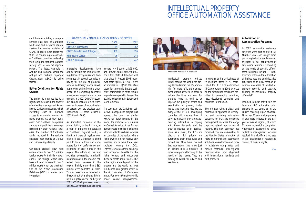WIPO Magazine/Sept.-Oct. 2003

WIPO Magazine/Sept -Oct. 2003

13

Intellectual property offices (IPOs) around the world are facing demands from the IP community for more efficient management of their services, in order to reduce the time and cost for granting rights as well as to improve the quality of search and examination of patents, trademarks, and industrial designs. As many of the IPOs in developing countries still operate their IP services manually, they are experiencing difficulties in coping with these demands and the growing backlog of IP applications. As a result, the IPOs are placing a high priority on automating their office rules and procedures. They have realized that automation is no longer just an option; it is a necessity in order to respond effectively to the harmonization; and alignment needs of their users. They are turning to WIPO for advice and best practices. assistance.

In response to this critical need of its Member States, WIPO established the IP Office Automation (IPOA) program in 2002 to focus on the automation assistance provided to developing countries, least developed countries and countries in transition.

The initiative takes a global and harmonized approach in deploying and sustaining automation solutions for IPOs and collective management societies for copyright and related rights across all regions. This new approach has provided concrete deliverables to the Member States: promotion of more comprehensive automation solutions, cost-effective and timely assistance using tested and proven methods; inter-regional with international standards and

#### **Automation of Administrative Processes**

In 2002, automation assistance activities were carried out in 54 Member States and ranged from providing technical guidance and oversight to full deployment of automation solutions. Depending on the needs of specific offices, these solutions include IT infrastructure, software for automation of the business and administrative processes of an IPO, creation of national databases of intellectual property records, and capacity building of intellectual property office staff.

Included in these activities is the launch of IPO automation pilot projects in six countries in the English-speaking region of Africa. More than 25 automation projects in total were initiated in the past year across all regions, of which 12 were successfully completed. Automation assistance to three collective management societies resulted in a significant increase in their distribution of royalties to owners of musical rights.

12



contribute to building a comprehensive data base of Caribbean works and add weight to its role *vis-à-vis* the member societies of CISAC. To reach these objectives, WIPO is continuing to assist other Caribbean countries to develop their own independent authors' society and to join the regional system. The latest example is Antigua and Barbuda, where the Antigua and Barbuda Copyright Organization (ABCO) is being formed.

#### **Better Conditions for Rights** as problems arising from the emer-**Owners**

The project to date has led to a significant increase in the transfer of collective management knowhow to Caribbean nationals, which inevitably leads to improved HMS issued 118 more licenses in access to economic rewards for rights owners. As of May 2003, over 1,550 Caribbean composers, authors and publishers were represented by their national societies. The number of Caribbean works included in the regional database now stands at 30,000 and is increasing steadily.

Caribbean societies now have online access to over 1.3 million foreign works for their daily operations. The foreign works database will soon increase to over 3 million works when the latest edition of the Works Information Database (WID) is loaded onto the system.

Impressive developments have also occurred in the field of licensing despite strong resistance from some users in several countries to paying for the use of protected national and foreign works, as well gence of a competing collective management organization in one territory. In 2002, COSCAP issued 355 annual licenses, which represents an increase of approximately 27 percent over the previous year. 2002 than in 2000.

An important outcome of the project is that, for the first time, as a result of building the database of Caribbean regional works, a significant share of royalties generated in the Caribbean is being paid to local authors and composers for the performance and recording of their works in the region. The efforts of the four societies have resulted in a significant increase in the income collected from licensees in the region. Slightly more than US\$2 million were collected in 2002. This increase is also reflected in the royalties that are being distributed to rights owners. For the year 2002, COSCAP processed nearly US\$250,000 for distribution to rights

owners, HMS some US\$75,000, and JACAP some US\$250,000. The 2002 COTT distribution will take place in August 2003; however their figures for 2001 were an impressive US\$500,000. One cause for concern is that the societies' administrative costs remain high when compared to those of the established societies in Europe and North America.

The success of the Caribbean collective management project has opened the doors to similar RFAPs for other regions in the world, for instance for countries in Central America. It has further demonstrated the need to continue efforts in order to establish societies in countries of the region where rights owners do not receive any royalties, and to have these new societies joining the CCL. Enterprises such as these can help reap economic benefits for the rights owners and encourage them to create more works. The entire region should gain from the process and the world at large will benefit from greater access to the rich varieties of Caribbean music. (For more information on this project contact *info@wipomail. com*.)

◆



| <b>GROWTH IN MEMBERSHIP OF CARIBBEAN SOCIETIES</b> |      |      |
|----------------------------------------------------|------|------|
| <b>SOCIETY</b>                                     | 2000 | 2002 |
| <b>COSCAP (Barbados)</b>                           | 69   | 167  |
| <b>COTT</b> (Trinidad and Tobago)                  | 439  | 796  |
| <b>HMS (Saint Lucia)</b>                           | 76   | 145  |
| <b>JACAP</b> (Jamaica)                             | 88   | 742  |
|                                                    |      |      |

>>>

*Arab Region meeting on IP automation*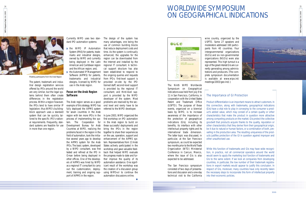The patent, trademark and industrial design registration services offered by IPOs around the world are very similar, but the legal systems behind them often create differences in the registration process. Within a region however, the IPOs tend to have similar IP legislation; thus WIPO's buildingblock approach uses a standard system that can be quickly tailored to the specific IPO's national requirements. Frequently, standard systems are feasible for use in more than one region.

# WORLDWIDE SYMPOSIUM ON GEOGRAPHICAL INDICATIONS

WIPO Magazine/Sept.-Oct. 2003

WIPO Magazine/Sept.-Oct. 2003

15

The Ninth WIPO Worldwide Symposium on Geographical Indications was held from July 9 to 11 in San Francisco, California, in cooperation with the United States Patent and Trademark Office (USPTO). The purpose of these events, organized on a biennial basis by WIPO, is to increase awareness of the importance of the protection of geographical indications (GIs), including its benefits, its interface with other intellectual property rights and its international trade dimension. The latter topic was discussed, in particular, at the San Francisco symposium, as could be expected two months prior to the World Trade Organization (WTO) Ministerial Conference in Cancun, Mexico, where the issue of GIs is also expected to be addressed.

the WIPO IP Automation System (IPAS) for patents, trademarks and industrial designs, owned by WIPO and currently being deployed in the Latin American and Caribbean region and the African region; and, ◗ the Automated IP Management Software (AIPMS) for patents, trademarks and industrial designs, licensed by WIPO for use in the Arab region.

> The San Francisco symposium consisted of two days of presentations and discussion and a one-day technical visit to the California

wine country, organized by the USPTO. Some 27 speakers and moderators addressed 160 participants from 40 countries. Four intergovernmental organizations (IGOs) and six non-governmental organizations (NGOs) were also represented. This high turnout is a sign of the great interest GIs are currently generating among administrations and producers. (The complete symposium documentation is available at *www.wipo.int/ meetings/2003/geo-ind/*.)

Currently WIPO uses two standard IPO automation systems:

#### **Focus on the Arab Region Software**

The Arab region serves as a good example of this strategy. WIPO has fully deployed the AIPMS system for seven countries in the Arab region with ten more IPOs in the process of implementing the system. The Cooperation for Development Bureau for Arab Countries at WIPO, realizing the problems faced in the region in the field of automation, took the initiative several years ago to develop the AIPMS system for the Arab IPOs. The basic system, developed by a WIPO consultant, was first tested and refined at the IPO in Oman before being deployed in other offices. One of the developers of AIPMS was hired by WIPO as a regional IT consultant to carry out the customization, deployment, training and ongoing support of AIPMS in the region.

The design of the system has

many advantages, one being the use of common building blocks that reduce deployment costs and time. As the system is continually enhanced, the upgrades for the region can be downloaded from the Internet and installed by the regional IT consultant. A technical support structure has also been established to respond to the ongoing queries and requests from IPOs: first-level support is provided on-site by the IPO trained staff; second-level support is provided by the regional IT consultant; and third-level support is provided by the WIPO developer of the system. Most problems are resolved by the second level and rarely have to be referred to the WIPO developer.

In June 2003, WIPO organized the first workshop on IPO automation in the Arab region to build on these successful deployments and bring the IPOs in the region together to share their experiences on the use, operation, support and enhancement of the AIPMS system. Representatives from 13 Arab States actively participated in the workshop and gave valuable feedback that helped WIPO evaluate the progress made to date and further improve the quality of its automation assistance. One significant result of the workshop was the creation of a discussion group using WIPONET to continue the automation discussions online.

◆



>>>



*Meeting participants from the Arab Region*

#### The Importance of GI Protection

Product differentiation is an important means to attract customers. In this connection, along with trademarks, geographical indications (GIs) have a vital role to play in conveying to the consumer a product's added value, which may consist of a certain quality or other characteristics that make the product in question more attractive among competing products on the market. GIs protect the collective goodwill that products acquire thanks to the quality, reputation or other characteristics that they derive from their geographical origin, be it due to natural or human factors, or a combination of both, prevailing in the production area. The resulting uniqueness of the products justifies protection of the GI in question against improper and other unauthorized use.

While this function of trademarks and GIs may have wide recognition, in practice, not all commercial operators around the world would seem to apply the marketing tool function of trademarks and GIs to the same extent. If we look at companies from developing countries, in particular, the low number of their trademark registrations in export markets would appear to justify this conclusion. In respect of GIs, moreover, many countries have only recently taken the necessary steps to incorporate this form of intellectual property into their economic policies.

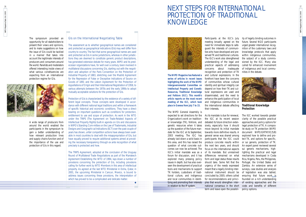# NEXT STEPS FOR INTERNATIONAL PROTECTION OF TRADITIONAL KNOWLEDGE



17 WIPO Magazine/Sept.-Oct. 2003 WIPO Magazine/Sept.-Oct. 2003

**The WIPO Magazine has featured a series of articles in recent issues highlighting the work of the WIPO Intergovernmental Committee on Intellectual Property and Genetic Resources, Traditional Knowledge and Folklore (IGC). This month's article reports on the most recent meeting of the IGC, which took place in Geneva from July 7 to 15.**

The WIPO General Assembly is expected to set directions for the Organization's work on traditional knowledge (TK), folklore, and genetic resources when it takes up the question of the future mandate for the IGC at its September, 2003 meeting. The IGC has already laid down a solid basis in this area, and this has raised the question of what concrete outcomes can now be achieved. The IGC's initial mandate was as a forum for discussion, and it has explored many pressing policy issues in depth, but has also overseen the development of practical tools and mechanisms to support TK holders, custodians of traditional culture, and indigenous and local communities in identifying and promoting their interests in relation to the IP system.

meeting broadly agreed on the need for immediate steps to safeguard the interests of communities who have developed and preserved TK and traditional cultures. understanding of the legal and practical aspects of addressing concerns about inadequate recognition and protection of TK and cultural expressions. In the forefront have been the concerns of communities whose cultural identity and spiritual integrity can depend on how their TK and cultural expressions are used and disseminated, and the need to enhance the participation of local and indigenous communities in the international debate affecting their interests.

Participants at the IGC's July ity of legally binding outcomes in The IGC's work also strengthened the subject of a study commisfuture. Several NGO participants urged greater international recognition of the customary laws and knowledge protocols that apply within indigenous communities, sioned by the IGC. Many also called for enhanced involvement of indigenous and local communities in the debate.

As its mandate is due for renewal, the IGC at its recent session debated its future direction extensively, especially how it should move beyond its initial mandate towards more definitive results. A general sense was shared among participants that the IGC could produce concrete results within the next two years, and should focus on the international aspects of its mandate. But unresolved differences remained on what form and legal status these results should take. Some felt that the urgency of the needs expressed meant that a legally binding international instrument should be of legislation was also tabled, concluded by 2005; others called for recommendations and principles that would strengthen international consensus in the short term and leave open the possibil-policy options. The IGC worked towards greater clarity of the possible practical approaches and policy options for legal protection of TK. A composite study on TK protection (WIPO document WIPO/GRTKF/IC/5/8) explored how to define and protect TK, and options for specific, or *sui generis*, protection of TK. An expert panel reviewed several *sui generis* mechanisms, highlighting the practical and legal mechanisms developed in Costa Rica, Nigeria, Peru, the Philippines, Portugal, the United States and Zambia. An extensive series of surveys, case studies and analysis ensuring that future work<sub>>></sub>is founded on a rich understanding of existing approaches and the costs and benefits of different



**Traditional Knowledge Protection**

16

The symposium provided an opportunity for all stakeholders to present their views and opinions, and to make suggestions on how the issue of GIs could be tackled in a manner that takes into account the legitimate interests of producers and consumers around the world. Panelists and moderators offered interesting inside views of what various constituencies are expecting from an international protection regime for GIs.



A wide range of producers from around the world enabled the participants in the symposium to gain a better understanding of how relevant production lines and supply chains function and of the importance of the use and protection of GIs in this regard.

#### GIs on the International Negotiating Table

The assessment as to whether geographical names are considered and protected as geographical indications (GIs) may well differ from country to country. The fact that some geographical names are used and protected as GIs in some jurisdictions, whereas in other jurisdictions they are deemed to constitute generic product descriptions, has generated extensive debate for many years. WIPO and its predecessor organizations have, for well over a century, been involved in multilateral discussions concerning GIs, starting out with the negotiation and adoption of the Paris Convention on the Protection of Industrial Property of 1883, stretching over the Madrid Agreement for the Repression of False or Deceptive Indications of Source on Goods of 1891 and the Lisbon Agreement for the Protection of Appellations of Origin and their International Registration of 1958, to various attempts between the 1970s and the early 1990s to adopt mutually acceptable solutions for the protection of GIs.

Protection of GIs is characterized by the existence of a variety of different legal concepts. Those concepts were developed in accordance with different national legal traditions and within a framework of specific historical and economic conditions. They have a direct bearing on important questions such as conditions for protection, entitlement to use and scope of protection. As work in the WTO under the TRIPS (The Agreement on Trade-Related Aspects of Intellectual Property Rights) built-in agenda on GIs and discussions in WIPO's Standing Com-mittee on the Law of Trademarks, Industrial Designs and Geographi-cal Indications (SCT) over the past couple of years has shown, unfair competition actions have always been available in most countries to deal with the misappropriation of GIs, but have equally proved to require additional systems aimed at providing the necessary transparency through ex ante recognition of what precisely is protected and how.

The TRIPS Agreement, adopted at the conclusion of the Uruguay Round of Multilateral Trade Negotiations as part of the Marrakech Agreement Establishing the WTO of 1994, lays down a number of provisions concerning the protection of GIs, including provisions calling for further work by WTO Members in this area of intellectual property. As agreed at the last WTO Ministerial in Doha, Qatar, in 2001, the upcoming Ministerial in Cancun, Mexico, is bound to address issues concerning these provisions, the interpretation of which has proved to be a complicated and delicate matter.

◆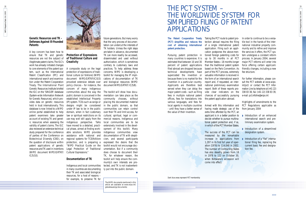# THE PCT SYSTEM – THE WORLDWIDE SYSTEM FOR SIMPLIFIED FILING OF PATENT APPLICATIONS

WIPO Magazine/Sept.-Oct. 2003 WIPO Magazine/Sept.-Oct. 2003

19

#### **The Patent Cooperation Treaty (PCT) simplifies and reduces the cost of obtaining international patent protection.**

Pursuing patent protection in many countries is expensive. It is estimated that between 10 and 30 percent of patent applications filed abroad are dropped because technical developments have superceded the invention or because there is no market for the invention in a particular country. Applicants are therefore best served when they can delay the major patent costs - such as filing fees in multiple national patent offices, fees for translations into various languages, and fees for local agents in multiple countries - until they have a better sense of the value of their invention.

Taking the PCT route to patent protection abroad requires the filing of a single international patent application. Filing such an application postpones the above-mentioned foreign patenting costs for up to 30 months in all PCT Member States—18 months longer based on the Paris Convention. As part of the PCT process, extremely valuable information is received in report and, if requested, an international preliminary examination report. Both of these reports provide clear indicators on the chances of successfully pursuing the patent application abroad.

than the traditional patent system force offering certain applicant-In order to continue to be a versatile tool in the hands of the international industrial property community and to refine and improve the services it offers, the PCT system undergoes a constant reform process. In January 2004, several major PCT reforms will enter into friendly changes, including a new fee structure.

the form of an international search For further information, please consult the PCT website at *www.wipo. int/pct/* or contact the PCT Information Line by telephone at (+41 22) 338 83 38, fax: (+41 22) 338 83 39, e-mail: *pct.infoline@wipo.int*

having made strategic use of the extra time afforded by the PCT, an applicant is in a better position to decide whether to pursue multinational patent protection and, if so, in which of the PCT Member States.

The success of the PCT can be measured by the remarkable increase in applications from 1,297 in its first full year of operation (1978) to 114,048 in 2002. The number of Contracting States has also steadily grown from 18 in 1978 to 122 on October 30, when Botswana's accession will come into effect.

Armed with this information and PCT Regulations applicable as Highlights of amendments to the from January 2004

- ◗ Introduction of an enhanced international search and preliminary examination system.
- ◗ Introduction of a streamlined designation system.
- Introduction of a "flat" international filing fee, replacing the current basic fee and designation fee.

18

#### **Genetic Resources and TK – Defenses Against Ill-Founded Patents**

A key concern has been how to ensure that TK and genetic resources are not the subject of illegitimate patent claims. The IGC's **Creativity** work has already initiated changes to core elements of the patent sys-A composite study on the legal tem, such as the International Patent Classification (IPC) and international search and examination under the Patent Cooperation Treaty. The International Plant Genetic Resources Institute briefed concern of many indigenous the IGC on the 'SINGER' database (System-wide Information Network for Genetic Resources), which provides data on genetic resources (IP) system. TCEs such as songs or held in trust internationally. This database is now linked to a WIPO online portal established to help patent examiners take greater account of existing TK and genetic resources when assessing the validity of patent claims. The IGC also reviewed an extensive technical study prepared for the conference of parties of the Conference on assistance with national and Biotechnical Diversity (CBD), on regional systems for TCE/folklore the question of disclosure within protection, and is preparing a patent applications of genetic resources and IK used in inventions Legal Protection of Iraditional (WIPO document WIPO/GRTKF/ Cultural Expressions." IC/5/10).



#### **Protection of Expressions of Traditional Culture and**

protection of expressions of traditional culture (or folklore) (WIPO document WIPO/GRTKF/IC/5/3) provoked extensive debate over policy choices – for instance, the communities about the way the public domain is conceived in the established Intellectual Property designs might be considered under IP law to be in the public domain, when in fact customary law or spiritual restrictions on its use may well still apply from the indigenous perspective. Talks have moved to a detailed, practical phase, aimed at finding workable solutions. WIPO provides "WIPO Practical Guide on the

#### **Documentation of TK**

Indigenous and local communities in many countries are documenting their TK and associated biological resources, for a host of reasons – for example, to preserve TK for

future generations. But many worry

that the very process of documentation can undercut the interests of TK holders. Unless the right steps are taken in advance, documented TK can more readily be accessed, disseminated and used without authorization, which is sometimes contrary to customary laws and practices. To help address these concerns, WIPO is developing a toolkit for managing the IP implications of documentation of TK and biological resources (WIPO

document WIPO/GRTKF/ IC/5/8).

The toolkit will show how documentation can take place as the community chooses, without placing the documented material in the public domain, so that communities can retain control over their TK and limit access, for cultural, spiritual, legal or commercial reasons. Indigenous and local communities are to be extensively involved in the development of this toolkit. Many indigenous communities view documentation of TK with skepticism, and several participants expressed the desire that the toolkit would not encourage documentation. But if a community does choose to document their TK, for whatever reason, the toolkit will help ensure the community's own interests are protected, and TK is not inadvertently put into the public domain. ◆

The WIPO documents mentioned in this article are available at *www.wipo.int/ globalissues/igc/documents/*.

*Dark blue areas represent PCT membership*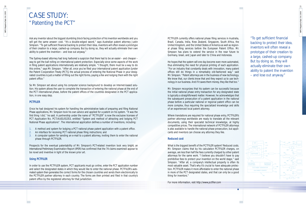WIPO Magazine/Sept .- Oct. 2003 WIPO Magazine/Sept.-Oct. 2003

21

# CASE STUDY: "Patenting the PCT"

*"To get sufficient financial backing to protect their idea, inventors will often reveal a prototype of their creation to a large, cashed-up company. But by doing so, they will actually eliminate their own ability to patent the invention – and lose out anyway."*



PCTFILER currently offers national phase filing services in Australia, Brazil, Canada, India, New Zealand, Singapore, South Africa, the United Kingdom, and the United States of America as well as regional phase filing services before the European Patent Office. Mr. Simpson has plans to extend the service in the near future to Germany, Israel, and Japan and later to China and Indonesia.

He hopes that the system will one day become even more automated, thus eliminating the need for physical printing of each application. "For an industry that constantly deals with innovation, many patent offices still do things in a remarkably old-fashioned way," said Mr. Simpson. "Patent attorneys are in the business of new technology. We know that, our clients know that and they expect us to use technology in our business. And if it saves them money, they like that too."

Mr. Simpson recognizes that his system can be successful because the initial national phase entry transaction for any designated state is typically a straightforward matter. However, he acknowledges that the subsequent prosecution of a patent application in the national phase before a particular national or regional patent office can be more complex, thus requiring the specialized knowledge and skills of an experienced local patent attorney.

Where translations are required for national phase entry, PCTFILER's partner attorneys worldwide are ready to translate all the relevant documents, using their specialist technical knowledge, at highly competitive prices. The international network of PCTFILER attorneys is also available to handle the national phase prosecution, but applicants and inventors can choose any attorney they like.

#### **Reduced cost**

What is the biggest benefit of the PCTFILER system? Reduced costs. Mr. Simpson claims that by his calculation PCTFILER charges, on average, are less than half the fees currently charged by other patent attorneys for the same work. "I believe you shouldn't have to pay prohibitive fees to protect your invention on the world stage," said Simpson. "After all, a company's intellectual property is often its most valuable asset. That's why it's crucial to have adequate protection. PCTFILER makes it more affordable to enter the national phase in more of the PCT designated states, and that can only be a good thing for inventors."

For more information, visit http://www.pctfiler.com

◆

Ask any inventor about the biggest stumbling block facing protection of his invention worldwide and you will get the same answer: cost. "It's a double-edged sword." says Australian patent attorney Justin Simpson. "To get sufficient financial backing to protect their idea, inventors will often reveal a prototype of their creation to a large, cashed-up company. But by doing so, they will actually eliminate their own ability to patent the invention – and lose out anyway."

The Sydney-based attorney had long harbored a suspicion that there had to be an easier – and cheaper – way to get the ball rolling on international patent protection. Especially since some aspects of the work in filing patent applications internationally are relatively simple. "I thought, there must be a way to do this online," says Mr. Simpson. "After all, once you've filed your international patent application [under the Patent Cooperation Treaty (PCT)], the actual process of entering the National Phase in your designated countries is just a matter of filling out the right forms, paying a fee and lodging them with the right patent office."

So Mr. Simpson set about using his computer science background to develop an Internet-based solution. His system allows the user to complete the transaction of entering the national phase at the end of the PCT international phase, before the patent offices of the countries designated in the PCT application, in one easy step.

#### **PCTFILER**

Once he had designed his system for handling the administrative tasks of preparing and filing National Phase applications, Mr. Simpson took his own advice and applied for a patent on his system. "It was the first thing I did," he said. A partnership under the name of "PCTFILER" is now the exclusive licensee of PCT Application No. PCT/AU01/01353, entitled "System and method of attracting and lodging PCT National Phase applications". The international application defines a number of inventions, including:

- 1. A method and system for lodging a PCT national phase patent application with a patent office.
- 2. An interface for receiving PCT national phase filing instructions; and
- 3. A computer system for sending an e-mail to a patent attorney, inviting them to enter the national phase through PCTFILER.

Prospects for the eventual patentability of Mr. Simpson's PCT-related invention look very bright; an International Preliminary Examination Report (IPER) has confirmed that the 74 claims examined appear to be novel and inventive in light of the known prior art.

#### **Using PCTFILER**

m,

In order to use the PCTFILER system, PCT applicants must go online, enter the PCT application number and select the designated states in which they would like to enter the national phase. PCTFILER's automated system then generates the correct forms for the chosen countries and sends them electronically to the PCTFILER partner attorney in each country. The forms are then printed and filed in that country's patent office by the registered attorney for that jurisdiction.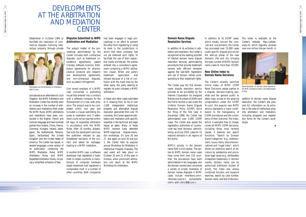In addition to its activities in arbitration and mediation, the Center is recognized as the leading provider of Internet domain name dispute resolution services, administering procedures that provide trademark owners with efficient remedies against the bad-faith registration and use of domain names corresponding to their trademark rights.

#### **Domain Name Dispute Resolution Services**

WIPO's activity in the domain name field is truly global. The parties to WIPO domain name cases have come from over 110 countries, the procedures have been administered in ten languages, and the domain names have concerned a variety of scripts. Examples of domain names disputed in WIPO cases include <marlboro.com>, <thomas-cook.tv>, <juliaroberts. com>, and <恒生指數.com>.

The Center was the first domain name dispute resolution service provider to be accredited by the Internet Corporation for Assigned Names and Numbers (ICANN) and the first to receive a case under the Uniform Domain Name Dispute Resolution Policy (UDRP). Since the filing of the first case in December 1999, the Center has administered over 5,000 UDRP cases. The Center also assists the registration authorities of countrycode top level domains, administering, as of July 2003, cases for 33 national domains in all regions of the world.

In addition to its UDRP cases, which mostly concern the .*com*, .*net* and .*org* domains, the Center has processed over 15,000 cases under specific dispute policies for the start-up phase of the new domains .*info* and .*biz*, bringing the total number of WIPO domain name cases to more than 20,000.

# DEVELOPMENTS AT THE ARBITRATION AND MEDIATION **CENTER**

#### **New Online Index to Domain Name Decisions**

The Center's recently launched online Index of WIPO UDRP Panel Decisions assists parties to a dispute, decision-making panelists and the general public to attain easy access to the growing jurisprudence under the UDRP. As such, this popular new WIPO service represents a major contribution to the transparancy of UDRP procedures and the consistency of their outcome. The Index, which is available free of charge. covers all WIPO UDRP decisions, including those most recently issued. It features two search functions: "Search by Domain Name Categories" (e.g., entertainment, luxury items, telecommunications) and "Legal Index", which allows an extensive search of decisions by substantive and procedural legal issues (e.g., deliberately misspelled trademarks in domain names, domain name use by authorized distributor, burden of proof). The Index also allows combined function and keyword searches, search by case number, domain name, and text of decision.

The Index is available at the Center's website, *http://arbiter. wipo.int*, which regularly receives over one million hits per month. In

had been engaged in legal proceedings in an effort to prevent the other from registering or using its mark in the jurisdictions in which that other company had not yet obtained such rights. To facilitate the use of their respective marks worldwide, the parties entered into a coexistence agreement containing a WIPO arbitration clause. When one party's trademark application was refused because of a risk of confusion with the mark held by the other party, the party seeking to register its mark initiated a WIPO arbitration.

> addition to domain name dispute resolution, the Center's site presents full information on its activities in the area of intellectual property arbitration and mediation, including programs and registration forms for the Center's workshops.

> > ◆

Established in October 1994 to facilitate the resolution of commercial disputes involving intellectual property through private

procedures as an alternative to court litigation, the WIPO Arbitration and Mediation Center has recently seen an increase in the number of arbitrations and mediations filed under the WIPO Rules. WIPO arbitrations and mediations have been conducted in the English, French and German language and have involved parties from Austria, China, France, Germany, Hungary, Ireland, Israel, Japan, the Netherlands, Panama, Spain, Switzerland, the United Kingdom and the United States of America. The Center has issued, in several languages, a new version of its publication containing the WIPO Mediation Rules, WIPO Arbitration Rules, and WIPO Expedited Arbitration Rules, including a simplified schedule of fees.

#### **Disputes Submitted to WIPO Arbitration and Mediation**

The subject matter of the proceedings administered by the Center includes both contractual disputes, such as trademark coexistence agreements, patent licenses, software licences, distribution agreements for pharmaceutical products and research and development agreements, and non-contractual disputes, such as patent infringement.

One recent example of a WIPO case concerned a publishing house that entered into a contract with a software company for the development of a new web presence. The project was to be completed within one year and included a clause submitting disputes to mediation and, if settlement could not be reached within 60 days, to expedited arbitration in accordance with the WIPO Rules. After 18 months, dissatisfied with the developer's services, the publisher refused to pay, threatened rescission of the contract and asked for damages, leading to a WIPO mediation.

In another WIPO case, a software developer had registered a trademark in certain countries. A manufacturer of computer hardware based elsewhere had registered a comparable mark in a number of other countries. Both companies

In these and other cases submitted to it, drawing from its list of over 1,000 independent intellectual property and alternative dispute resolution specialists from over 70 countries, the Center appoints arbitrators and mediators with specific expertise in the technical and legal issues at stake. Many of these WIPO neutrals have attended WIPO-organized dispute-resolution workshops. On June 26 and 27, and again on June 30 and July 1, the Center held its popular annual Workshop for Mediators in Intellectual Property Disputes. The next event will take place on October 20 and 21 of this year in Geneva, when prominent arbitrators will teach at the WIPO Workshop for Arbitrators.



*Participants at the Workshop for Mediators held in June*



*Panel discussion on domain name diputes at the INTA Conference held in the Netherlands in May*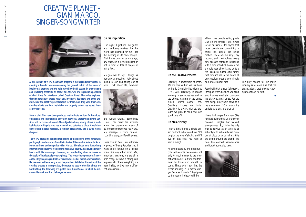25 WIPO Magazine/Sept .- Oct. 2003 WIPO Magazine/Sept.-Oct. 2003



**On the Creative Process**

*Creativity is impossible to learn. We are born with it; we just have to find it. Creativity lies within us – WE ARE creativity. It means learning to see ourselves and to see others, learning to see things which others cannot see. Creativity knows no limits. Creativity is always with us, provided we grab its hand and take good care of it!*

#### **On Music Piracy**

*I don't think there's a single person on Earth who would say: "I'll sing for the love of singing and I'll live off that love." You have to earn a living!*

*As time passes by, the opportunity to sell records decreases – not only for me, I am new to the international market, but first and foremost for those who are still to come. That's why I say that the record industry is in mortal danger. Because if we don't fight piracy, the record industry will die.*

*When I see people selling pirate CDs on the streets, I ask myself lots of questions. I tell myself that those people are committing a crime. It's almost like being robbed. These are my songs, my records, and I feel robbed every day, because someone is fiddling with a product which has cost me a whole year of work and quite a few sleepless nights! And today, that product lies in the hands of unscrupulous people who simply do not care about that.*

*Faced with that plague (of piracy), I feel powerless, because you can't stop it, unless we all start considering piracy as a real threat. For the time being, piracy boils down to a mere comment: "Oh, piracy, it's terrible! And this, and that…!"*

*I have had singles from new CDs released before the CDs were even released… singles that weren't even planned. So, I think the only way to survive as an artist is to either fight to sell a sufficient number of discs or to do what artists are doing around the world: live from live concert performances and forget about disc sales.*



*The only chance for the music industry is to make sure that the organizations that defend copyright continue to exist.*

◆

# *CREATIVE PLANET -* GIAN MARCO, SINGER-SONGWRITER



**A key element of WIPO's outreach program is the Organization's work in creating a broader awareness among the general public of the value of intellectual property and the role played by the IP system in encouraging and rewarding creativity. As part of this effort, WIPO is producing a series of short films for television called** *Creative Planet***. The series explores, through portraits of artists, musicians, inventors, designers, and other creators, how the creative process works for them, how they view their own creative efforts, and how the intellectual property system has helped them achieve success.**

**Several pilot films have been produced in six minute versions for broadcast on national and international television networks. Shorter one-minute versions will be produced as well. The subjects include, among others, a medical doctor in Nigeria who has invented and patented a blood transfusion device used in local hospitals, a Tunisian glass artists, and a Swiss watch designer.**

**The WIPO Magazine is highlighting some of the subjects of the films with photographs and excerpts from their stories. This month's feature looks at Peruvian singer and songwriter Gian Marco. The singer, who is reaching international popularity well beyond his native country, has touched many hearts with his love songs. However, his words sting when he moves to the topic of intellectual property piracy. The songwriter speaks out frankly on the illegal copying and sale of his works as well as that of other creators. He has even written a song about the problem. While his discussion of the creative process is introspective, the words he uses to describe piracy are hard hitting. The following are quotes from Gian Marco, in which he discusses his work and the challenges he faces.**

#### **On his inspiration**

*One night, I grabbed my guitar and I suddenly realized that the world had changed for me. That the meaning of life had changed. That I was born to be on stage, any stage, be it in the limelight or not, in front of lots of people or just a few…*

*My goal was to say… things, as humanly as possible. I talk about falling in love and falling out of love, I talk about life, behavior*



*and human nature… Sometimes I feel I can break the invisible armor that prevents us, many of us, from seeing who we really are. My message is very human: I combine everyday-life with poetry.*

*I was born in Peru. I am extremely proud of being Peruvian and I want to be famous on a global scale, like any other artist! We, musicians, creators, we are all a little crazy, we have a strong will to pass on to others everything we have inside, to dive into a different atmosphere…* 

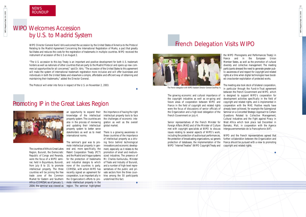# WIPO Magazine/Sept -Oct. 2003 WIPO Magazine/Sept.-Oct. 2003

27

The growing economic and cultural importance of the copyright industries as well as on-going and future areas of cooperation between WIPO and France in the field of copyright and related rights were the focus of discussions of senior officials of the Organization and a high-level delegation of the French Government on July 4.

Senior representatives of the French Minister for Foreign Affairs (MAE) and of the Minister of Culture met with copyright specialists at WIPO to discuss issues relating to several aspects of WIPO's work, including the protection of audiovisual performances, the protection of broadcasting organizations, *sui generis* protection of databases, the implementation of the WIPO "Internet Treaties" (WIPO Copyright Treaty and

the WIPO Phonograms and Performances Treaty) in France and in the European Union Member States, as well as the promotion of cultural diversity and collective management. The meeting participants stressed the need to generate greater public awareness of and respect for copyright and related rights at a time when digital technologies have boosted cross-border exploitation of protected works.

# WIPO Magazine/Sept.-Oct. 2003 WIPO Magazine/Sept.-Oct. 2003

The meeting also took stock of bilateral cooperation, in particular through the Fund-in-Trust agreement between the French Government and WIPO, which is designed to support WIPO's cooperation for development activities specifically in the field of copyright and related rights, and is implemented in cooperation with the MAE. Positive results have already been achieved, for example the Subregional Seminar on a Concerted Strategic Approach to Certain Questions Related to Collective Management, Cultural Industries and the Fight against Piracy in West Africa which took place last December in Bamako, Mali, in cooperation with the Agence Intergouvernementale de la Francophonie (AIF).

WIPO and the French representatives agreed that further collaboration between the Organization and France should be pursued with a view to promoting copyright and related rights.

◆

# French Delegation Visits WIPO

26

# WIPO Welcomes Accession by U.S. to Madrid System

WIPO Director General Kamil Idris welcomed the accession by the United States of America to the Protocol Relating to the Madrid Agreement Concerning the International Registration of Marks, a pact that greatly facilitates and reduces the costs for the registration of trademarks in multiple countries. WIPO received the instrument of accession of the U.S on August 2.

"The U.S. accession to this key Treaty is an important and positive development for both U.S. trademark holders as well as nationals of other countries that are party to the Madrid Protocol and opens up new commercial opportunities for all concerned," said Dr. Idris. "The accession of the United States to this agreement will make the system of international trademark registration more inclusive and will offer businesses and individuals in both the United States and elsewhere a simple, affordable and efficient way of obtaining and maintaining their trademarks," added the Director General.

The Protocol will enter into force in respect of the U.S. on November 2, 2003.

◆

# Promoting IP in the Great Lakes Region



The countries of Africa's Great Lakes Region, Burundi, the Democratic Republic of Congo and Rwanda, were the focus of a WIPO semifrom July 8 to 10, to promote an opportunity to expand their knowledge of the intellectual property system. The countries are also in the process of reviewing and updating their intellectual property system to better serve stakeholders as well as to meet international norms.

nar, held in Bujumbura, Burundi, and industrial designs to which intellectual property. The three COMESA, with whom WIPO has countries will be joining the free recently signed an agreement for trade zone of the Common cooperation, is an important ally in Market for Eastern and Southern the Organization's efforts to pro-Africa (COMESA) as of January 1, mote intellectual property in the 2004; the seminar was viewed as region. The seminar highlighted The seminar's goal was to promote intellectual property in general and, more specifically, the Patent Cooperation Treaty (PCT) and the Madrid and Hague systems for the protection of trademarks none of the countries is party.

the importance of having the right intellectual property tools to face the challenges of economic integration as well as the overall global market.

There is a growing awareness in these countries of the importance of intellectual property as a driving force behind technological innovations and economic development, especially as it relates to the promotion of small and mediumsized industries. The presence of Mr. Charles Karikurubu, Minister of Trade and Industry of Burundi, and a number of high-level representatives of the public and private sectors from the three countries among the 50 participants underlined this fact.

◆

*Photo: Mercedes Martínez-Dozal*



*The French delegation with WIPO Assistant Director General Geoffrey Yu*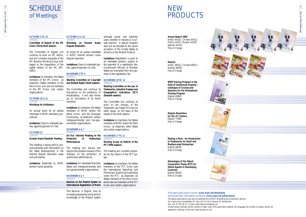

# PRODUCTS

#### Purchase publications online: **www.wipo.int/ebookshop**

# <sup>28</sup> NEW SCHEDULE of Meetings

Download free information products: **www.wipo.int/publications/** The above publications may also be obtained from WIPO's Marketing and Distribution Section: 34, chemin des Colombettes, P.O. Box 18, CH-1211 Geneva 20, Switzerland Fax: +41 22 740 18 12 ◗ e-mail: publications.mail@wipo.int Orders should indicate: (a) the number or letter code of the publication desired, the language, the number of copies; (b) the full address for mailing; (c) the mail mode (surface or air).



#### **OCTOBER 2 TO 10**

#### **GENEVA**

#### **Committee of Experts of the IPC Union (Thirty-third session)**

The Committee of Experts will An event for all parties interested continue its work on IPC reform, in WIPO Internet domain name and will consider proposals of the dispute resolution. IPC Revision Working Group with regard to the preparation of the **Invitations:** Open to interested pareighth edition of the IPC (IPC-2005).

**Invitations:** As members, the States members of the IPC Union; as **Standing Committee on Copyright** observers, States members of the Paris Union, who are not members of the IPC Union, and certain The Committee will continue its organizations.

#### **OCTOBER 20 & 21**

**GENEVA** 

#### **Workshop for Arbitrators**

An annual event for all parties interested in WIPO arbitration procedures.

**Invitations:** Open to interested parties, against payment of a fee.

#### **OCTOBER 22**

**GENEVA** 

#### **Domain Name Panelists' Meeting**

The meeting is being held to provide panelists with information on the latest developments in the Internet dispute resolution cases and procedures.

**Invitations:** Restricted to WIPO domain name panelists.

#### **OCTOBER 23 & 24 GENEVA**

**Workshop on Domain Name Dispute Resolution**

ties, against payment of a fee.

#### **NOVEMBER 3 TO 5 GENEVA**

## **and Related Rights (Tenth session)**

discussions on the protection of broadcasting. It will also follow up on discussions of its future workplan.

Arabic 441(A), Chinese 441(C), French 441(F), Russian 441(R),

#### **Invitations:** As members, the States members of WIPO and/or the Berne Union, and the European Community; as observers, certain intergovernmental and non-governmental organizations.

#### **NOVEMBER 6 & 7**

**GENEVA Ad Hoc Informal Meeting on the Protection of Audiovisual Performances**

#### The meeting will discuss and explore the possible renewal of the dialogue on the protection of audiovisual performances.

**Invitations:** All interested Mermber States and intergovernmental and non-governmental organizations.

#### **NOVEMBER 6 & 7**

This Seminar, in English, aims at increasing awareness and practical knowledge of the Madrid system

amongst actual and potential users, whether in industry or in private practice. A special program item will be devoted to the recent accession of the United States of America to the Madrid Protocol.

**Invitations:** Registration is open to all interested persons, subject to the payment of a registration fee. Government officials of Member States are exempted from the payment of the registration fee.

#### **NOVEMBER 10 TO 14**

**GENEVA Standing Committee on the Law of Trademarks, Industrial Designs and Geographical Indications (SCT) (Eleventh session)**

**GENEVA Seminar on the Madrid System of** which are not members of the PCT **International Registration of Marks** Union and certain organizations.

The Committee will continue its work on the revision of the Trademark Law Treaty (TLT) and on other issues, on the basis of the results of the tenth session.

**Invitations:** As members, the States members of WIPO and/or the Paris Union; as observers, other States and certain organizations.

#### **NOVEMBER 17 TO 21**

#### **GENEVA Working Group on Reform of the PCT (Fifth session)**

The meeting will consider proposals for the reform of the PCT system.

**Invitations:** As members, the States members of the PCT Union and the International Searching and Preliminary Examining Authorities under the PCT; as observers, all States members of the Paris Union

**Annual Report 2002**

Spanish 441(S) Free of Charge

**Patents** Arabic 485(A), Chinese 485(C), Russian 485(R) Free of Charge

**WIPO Training Program in the Field of Intellectual Property - Catalogue of Courses and Seminars for the Professional Training Program** English 499(E) Free of Charge

**Dispute Resolution for the 21st Century** English 779(E) Free of Charge

**Making a Mark - An Introduction to Trademarks for Small and Medium-sized Enterprises** English 900(E) Free of Charge

**Advantages of the Patent Cooperation Treaty (PCT) for Patent Agents in Developing Countries** English 905(E) Free of Charge